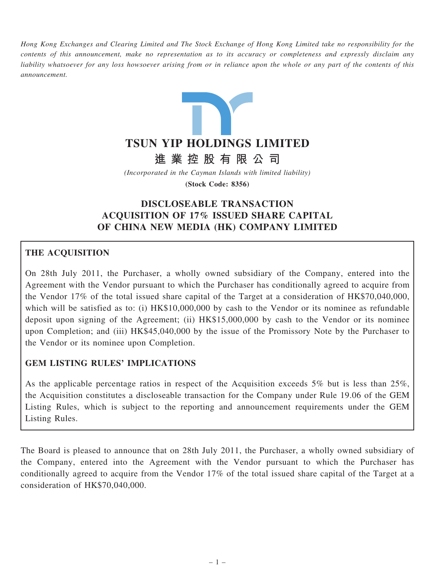Hong Kong Exchanges and Clearing Limited and The Stock Exchange of Hong Kong Limited take no responsibility for the contents of this announcement, make no representation as to its accuracy or completeness and expressly disclaim any liability whatsoever for any loss howsoever arising from or in reliance upon the whole or any part of the contents of this announcement.



進 業 控 股 有 限 公 司

(Incorporated in the Cayman Islands with limited liability)

(Stock Code: 8356)

# DISCLOSEABLE TRANSACTION ACQUISITION OF 17% ISSUED SHARE CAPITAL OF CHINA NEW MEDIA (HK) COMPANY LIMITED

## THE ACQUISITION

On 28th July 2011, the Purchaser, a wholly owned subsidiary of the Company, entered into the Agreement with the Vendor pursuant to which the Purchaser has conditionally agreed to acquire from the Vendor 17% of the total issued share capital of the Target at a consideration of HK\$70,040,000, which will be satisfied as to: (i) HK\$10,000,000 by cash to the Vendor or its nominee as refundable deposit upon signing of the Agreement; (ii) HK\$15,000,000 by cash to the Vendor or its nominee upon Completion; and (iii) HK\$45,040,000 by the issue of the Promissory Note by the Purchaser to the Vendor or its nominee upon Completion.

## GEM LISTING RULES' IMPLICATIONS

As the applicable percentage ratios in respect of the Acquisition exceeds 5% but is less than 25%, the Acquisition constitutes a discloseable transaction for the Company under Rule 19.06 of the GEM Listing Rules, which is subject to the reporting and announcement requirements under the GEM Listing Rules.

The Board is pleased to announce that on 28th July 2011, the Purchaser, a wholly owned subsidiary of the Company, entered into the Agreement with the Vendor pursuant to which the Purchaser has conditionally agreed to acquire from the Vendor 17% of the total issued share capital of the Target at a consideration of HK\$70,040,000.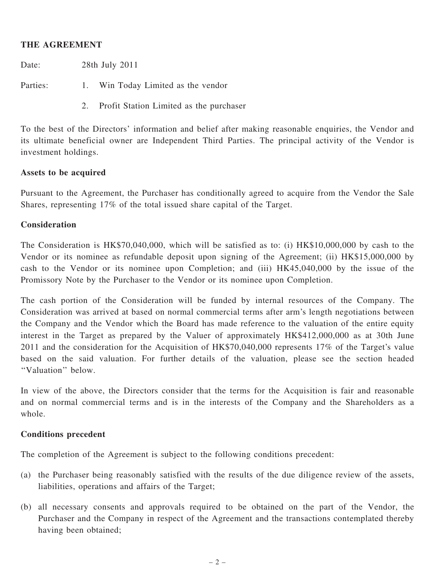### THE AGREEMENT

Date: 28th July 2011

Parties: 1. Win Today Limited as the vendor

2. Profit Station Limited as the purchaser

To the best of the Directors' information and belief after making reasonable enquiries, the Vendor and its ultimate beneficial owner are Independent Third Parties. The principal activity of the Vendor is investment holdings.

#### Assets to be acquired

Pursuant to the Agreement, the Purchaser has conditionally agreed to acquire from the Vendor the Sale Shares, representing 17% of the total issued share capital of the Target.

### Consideration

The Consideration is HK\$70,040,000, which will be satisfied as to: (i) HK\$10,000,000 by cash to the Vendor or its nominee as refundable deposit upon signing of the Agreement; (ii) HK\$15,000,000 by cash to the Vendor or its nominee upon Completion; and (iii) HK45,040,000 by the issue of the Promissory Note by the Purchaser to the Vendor or its nominee upon Completion.

The cash portion of the Consideration will be funded by internal resources of the Company. The Consideration was arrived at based on normal commercial terms after arm's length negotiations between the Company and the Vendor which the Board has made reference to the valuation of the entire equity interest in the Target as prepared by the Valuer of approximately HK\$412,000,000 as at 30th June 2011 and the consideration for the Acquisition of HK\$70,040,000 represents 17% of the Target's value based on the said valuation. For further details of the valuation, please see the section headed ''Valuation'' below.

In view of the above, the Directors consider that the terms for the Acquisition is fair and reasonable and on normal commercial terms and is in the interests of the Company and the Shareholders as a whole.

#### Conditions precedent

The completion of the Agreement is subject to the following conditions precedent:

- (a) the Purchaser being reasonably satisfied with the results of the due diligence review of the assets, liabilities, operations and affairs of the Target;
- (b) all necessary consents and approvals required to be obtained on the part of the Vendor, the Purchaser and the Company in respect of the Agreement and the transactions contemplated thereby having been obtained;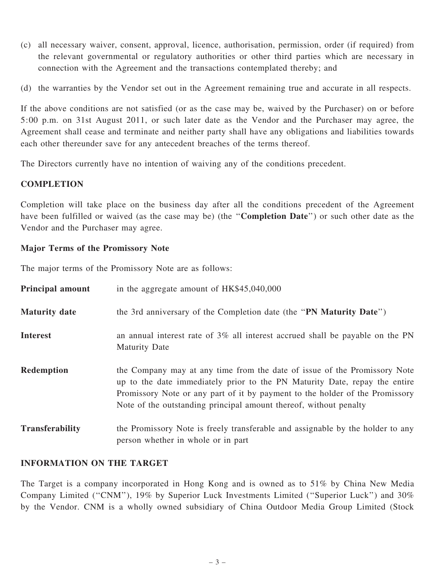- (c) all necessary waiver, consent, approval, licence, authorisation, permission, order (if required) from the relevant governmental or regulatory authorities or other third parties which are necessary in connection with the Agreement and the transactions contemplated thereby; and
- (d) the warranties by the Vendor set out in the Agreement remaining true and accurate in all respects.

If the above conditions are not satisfied (or as the case may be, waived by the Purchaser) on or before 5:00 p.m. on 31st August 2011, or such later date as the Vendor and the Purchaser may agree, the Agreement shall cease and terminate and neither party shall have any obligations and liabilities towards each other thereunder save for any antecedent breaches of the terms thereof.

The Directors currently have no intention of waiving any of the conditions precedent.

### **COMPLETION**

Completion will take place on the business day after all the conditions precedent of the Agreement have been fulfilled or waived (as the case may be) (the "**Completion Date**") or such other date as the Vendor and the Purchaser may agree.

### Major Terms of the Promissory Note

The major terms of the Promissory Note are as follows:

| <b>Principal amount</b> | in the aggregate amount of HK\$45,040,000                                                                                                                                                                                                                                                                    |
|-------------------------|--------------------------------------------------------------------------------------------------------------------------------------------------------------------------------------------------------------------------------------------------------------------------------------------------------------|
| <b>Maturity date</b>    | the 3rd anniversary of the Completion date (the "PN Maturity Date")                                                                                                                                                                                                                                          |
| <b>Interest</b>         | an annual interest rate of 3% all interest accrued shall be payable on the PN<br><b>Maturity Date</b>                                                                                                                                                                                                        |
| <b>Redemption</b>       | the Company may at any time from the date of issue of the Promissory Note<br>up to the date immediately prior to the PN Maturity Date, repay the entire<br>Promissory Note or any part of it by payment to the holder of the Promissory<br>Note of the outstanding principal amount thereof, without penalty |
| <b>Transferability</b>  | the Promissory Note is freely transferable and assignable by the holder to any<br>person whether in whole or in part                                                                                                                                                                                         |

## INFORMATION ON THE TARGET

The Target is a company incorporated in Hong Kong and is owned as to 51% by China New Media Company Limited (''CNM''), 19% by Superior Luck Investments Limited (''Superior Luck'') and 30% by the Vendor. CNM is a wholly owned subsidiary of China Outdoor Media Group Limited (Stock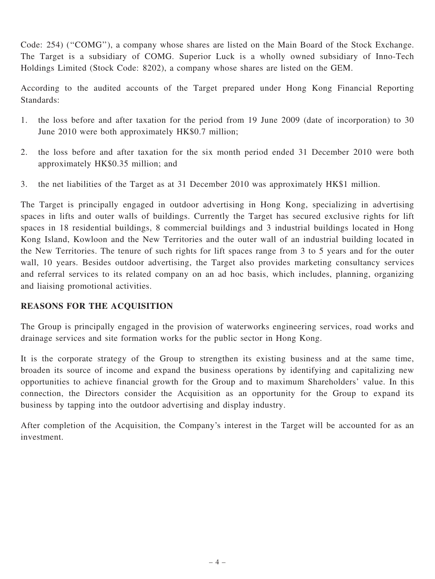Code: 254) (''COMG''), a company whose shares are listed on the Main Board of the Stock Exchange. The Target is a subsidiary of COMG. Superior Luck is a wholly owned subsidiary of Inno-Tech Holdings Limited (Stock Code: 8202), a company whose shares are listed on the GEM.

According to the audited accounts of the Target prepared under Hong Kong Financial Reporting Standards:

- 1. the loss before and after taxation for the period from 19 June 2009 (date of incorporation) to 30 June 2010 were both approximately HK\$0.7 million;
- 2. the loss before and after taxation for the six month period ended 31 December 2010 were both approximately HK\$0.35 million; and
- 3. the net liabilities of the Target as at 31 December 2010 was approximately HK\$1 million.

The Target is principally engaged in outdoor advertising in Hong Kong, specializing in advertising spaces in lifts and outer walls of buildings. Currently the Target has secured exclusive rights for lift spaces in 18 residential buildings, 8 commercial buildings and 3 industrial buildings located in Hong Kong Island, Kowloon and the New Territories and the outer wall of an industrial building located in the New Territories. The tenure of such rights for lift spaces range from 3 to 5 years and for the outer wall, 10 years. Besides outdoor advertising, the Target also provides marketing consultancy services and referral services to its related company on an ad hoc basis, which includes, planning, organizing and liaising promotional activities.

## REASONS FOR THE ACQUISITION

The Group is principally engaged in the provision of waterworks engineering services, road works and drainage services and site formation works for the public sector in Hong Kong.

It is the corporate strategy of the Group to strengthen its existing business and at the same time, broaden its source of income and expand the business operations by identifying and capitalizing new opportunities to achieve financial growth for the Group and to maximum Shareholders' value. In this connection, the Directors consider the Acquisition as an opportunity for the Group to expand its business by tapping into the outdoor advertising and display industry.

After completion of the Acquisition, the Company's interest in the Target will be accounted for as an investment.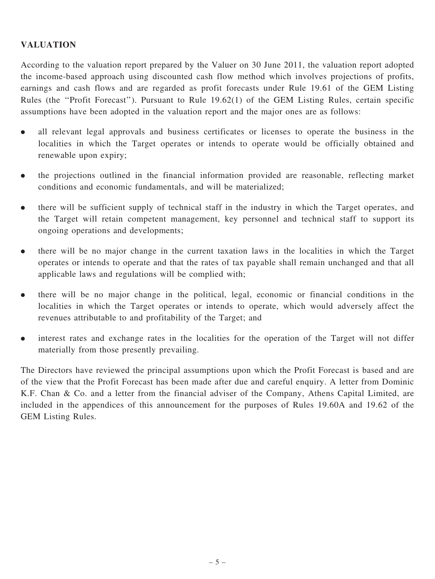## VALUATION

According to the valuation report prepared by the Valuer on 30 June 2011, the valuation report adopted the income-based approach using discounted cash flow method which involves projections of profits, earnings and cash flows and are regarded as profit forecasts under Rule 19.61 of the GEM Listing Rules (the ''Profit Forecast''). Pursuant to Rule 19.62(1) of the GEM Listing Rules, certain specific assumptions have been adopted in the valuation report and the major ones are as follows:

- . all relevant legal approvals and business certificates or licenses to operate the business in the localities in which the Target operates or intends to operate would be officially obtained and renewable upon expiry;
- . the projections outlined in the financial information provided are reasonable, reflecting market conditions and economic fundamentals, and will be materialized;
- . there will be sufficient supply of technical staff in the industry in which the Target operates, and the Target will retain competent management, key personnel and technical staff to support its ongoing operations and developments;
- . there will be no major change in the current taxation laws in the localities in which the Target operates or intends to operate and that the rates of tax payable shall remain unchanged and that all applicable laws and regulations will be complied with;
- . there will be no major change in the political, legal, economic or financial conditions in the localities in which the Target operates or intends to operate, which would adversely affect the revenues attributable to and profitability of the Target; and
- . interest rates and exchange rates in the localities for the operation of the Target will not differ materially from those presently prevailing.

The Directors have reviewed the principal assumptions upon which the Profit Forecast is based and are of the view that the Profit Forecast has been made after due and careful enquiry. A letter from Dominic K.F. Chan & Co. and a letter from the financial adviser of the Company, Athens Capital Limited, are included in the appendices of this announcement for the purposes of Rules 19.60A and 19.62 of the GEM Listing Rules.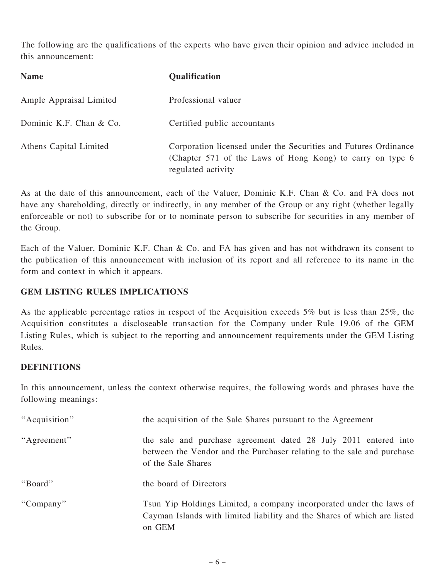The following are the qualifications of the experts who have given their opinion and advice included in this announcement:

| <b>Name</b>             | Qualification                                                                                                                                      |
|-------------------------|----------------------------------------------------------------------------------------------------------------------------------------------------|
| Ample Appraisal Limited | Professional valuer                                                                                                                                |
| Dominic K.F. Chan & Co. | Certified public accountants                                                                                                                       |
| Athens Capital Limited  | Corporation licensed under the Securities and Futures Ordinance<br>(Chapter 571 of the Laws of Hong Kong) to carry on type 6<br>regulated activity |

As at the date of this announcement, each of the Valuer, Dominic K.F. Chan & Co. and FA does not have any shareholding, directly or indirectly, in any member of the Group or any right (whether legally enforceable or not) to subscribe for or to nominate person to subscribe for securities in any member of the Group.

Each of the Valuer, Dominic K.F. Chan & Co. and FA has given and has not withdrawn its consent to the publication of this announcement with inclusion of its report and all reference to its name in the form and context in which it appears.

## GEM LISTING RULES IMPLICATIONS

As the applicable percentage ratios in respect of the Acquisition exceeds 5% but is less than 25%, the Acquisition constitutes a discloseable transaction for the Company under Rule 19.06 of the GEM Listing Rules, which is subject to the reporting and announcement requirements under the GEM Listing Rules.

## **DEFINITIONS**

In this announcement, unless the context otherwise requires, the following words and phrases have the following meanings:

| "Acquisition" | the acquisition of the Sale Shares pursuant to the Agreement                                                                                                    |
|---------------|-----------------------------------------------------------------------------------------------------------------------------------------------------------------|
| "Agreement"   | the sale and purchase agreement dated 28 July 2011 entered into<br>between the Vendor and the Purchaser relating to the sale and purchase<br>of the Sale Shares |
| "Board"       | the board of Directors                                                                                                                                          |
| "Company"     | Tsun Yip Holdings Limited, a company incorporated under the laws of<br>Cayman Islands with limited liability and the Shares of which are listed<br>on GEM       |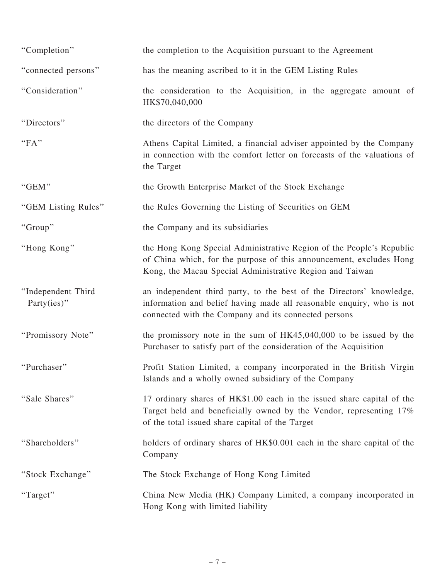| "Completion"                          | the completion to the Acquisition pursuant to the Agreement                                                                                                                                             |
|---------------------------------------|---------------------------------------------------------------------------------------------------------------------------------------------------------------------------------------------------------|
| "connected persons"                   | has the meaning ascribed to it in the GEM Listing Rules                                                                                                                                                 |
| "Consideration"                       | the consideration to the Acquisition, in the aggregate amount of<br>HK\$70,040,000                                                                                                                      |
| "Directors"                           | the directors of the Company                                                                                                                                                                            |
| "FA"                                  | Athens Capital Limited, a financial adviser appointed by the Company<br>in connection with the comfort letter on forecasts of the valuations of<br>the Target                                           |
| "GEM"                                 | the Growth Enterprise Market of the Stock Exchange                                                                                                                                                      |
| "GEM Listing Rules"                   | the Rules Governing the Listing of Securities on GEM                                                                                                                                                    |
| "Group"                               | the Company and its subsidiaries                                                                                                                                                                        |
| "Hong Kong"                           | the Hong Kong Special Administrative Region of the People's Republic<br>of China which, for the purpose of this announcement, excludes Hong<br>Kong, the Macau Special Administrative Region and Taiwan |
| "Independent Third<br>Party $(ies)$ " | an independent third party, to the best of the Directors' knowledge,<br>information and belief having made all reasonable enquiry, who is not<br>connected with the Company and its connected persons   |
| "Promissory Note"                     | the promissory note in the sum of $HK45,040,000$ to be issued by the<br>Purchaser to satisfy part of the consideration of the Acquisition                                                               |
| "Purchaser"                           | Profit Station Limited, a company incorporated in the British Virgin<br>Islands and a wholly owned subsidiary of the Company                                                                            |
| "Sale Shares"                         | 17 ordinary shares of HK\$1.00 each in the issued share capital of the<br>Target held and beneficially owned by the Vendor, representing 17%<br>of the total issued share capital of the Target         |
| "Shareholders"                        | holders of ordinary shares of HK\$0.001 each in the share capital of the<br>Company                                                                                                                     |
| "Stock Exchange"                      | The Stock Exchange of Hong Kong Limited                                                                                                                                                                 |
| "Target"                              | China New Media (HK) Company Limited, a company incorporated in<br>Hong Kong with limited liability                                                                                                     |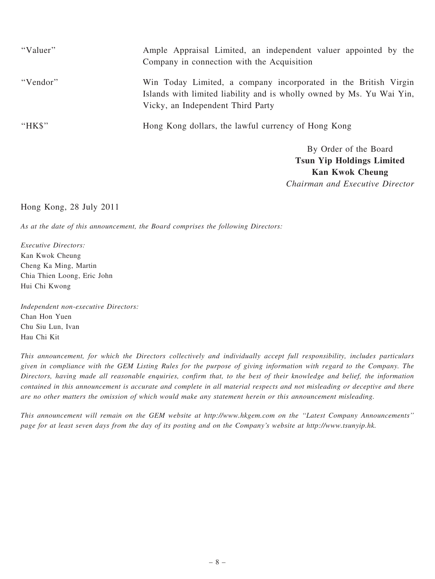| "Valuer" | Ample Appraisal Limited, an independent valuer appointed by the<br>Company in connection with the Acquisition                                                                 |
|----------|-------------------------------------------------------------------------------------------------------------------------------------------------------------------------------|
| "Vendor" | Win Today Limited, a company incorporated in the British Virgin<br>Islands with limited liability and is wholly owned by Ms. Yu Wai Yin,<br>Vicky, an Independent Third Party |
| "HK\$"   | Hong Kong dollars, the lawful currency of Hong Kong                                                                                                                           |
|          | By Order of the Board                                                                                                                                                         |

Tsun Yip Holdings Limited Kan Kwok Cheung Chairman and Executive Director

#### Hong Kong, 28 July 2011

As at the date of this announcement, the Board comprises the following Directors:

Executive Directors: Kan Kwok Cheung Cheng Ka Ming, Martin Chia Thien Loong, Eric John Hui Chi Kwong

Independent non-executive Directors: Chan Hon Yuen Chu Siu Lun, Ivan Hau Chi Kit

This announcement, for which the Directors collectively and individually accept full responsibility, includes particulars given in compliance with the GEM Listing Rules for the purpose of giving information with regard to the Company. The Directors, having made all reasonable enquiries, confirm that, to the best of their knowledge and belief, the information contained in this announcement is accurate and complete in all material respects and not misleading or deceptive and there are no other matters the omission of which would make any statement herein or this announcement misleading.

This announcement will remain on the GEM website at http://www.hkgem.com on the ''Latest Company Announcements'' page for at least seven days from the day of its posting and on the Company's website at http://www.tsunyip.hk.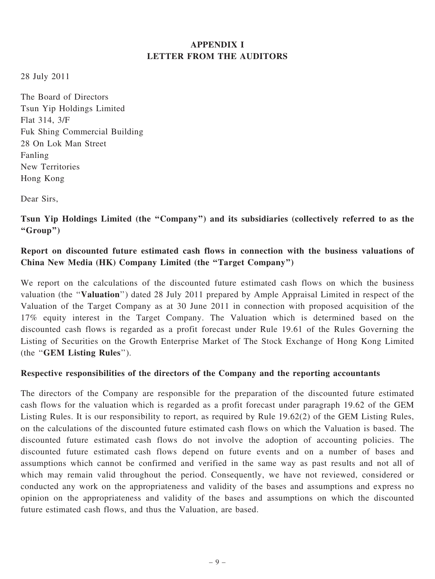## APPENDIX I LETTER FROM THE AUDITORS

28 July 2011

The Board of Directors Tsun Yip Holdings Limited Flat 314, 3/F Fuk Shing Commercial Building 28 On Lok Man Street Fanling New Territories Hong Kong

Dear Sirs,

Tsun Yip Holdings Limited (the ''Company'') and its subsidiaries (collectively referred to as the ''Group'')

## Report on discounted future estimated cash flows in connection with the business valuations of China New Media (HK) Company Limited (the ''Target Company'')

We report on the calculations of the discounted future estimated cash flows on which the business valuation (the ''Valuation'') dated 28 July 2011 prepared by Ample Appraisal Limited in respect of the Valuation of the Target Company as at 30 June 2011 in connection with proposed acquisition of the 17% equity interest in the Target Company. The Valuation which is determined based on the discounted cash flows is regarded as a profit forecast under Rule 19.61 of the Rules Governing the Listing of Securities on the Growth Enterprise Market of The Stock Exchange of Hong Kong Limited (the ''GEM Listing Rules'').

## Respective responsibilities of the directors of the Company and the reporting accountants

The directors of the Company are responsible for the preparation of the discounted future estimated cash flows for the valuation which is regarded as a profit forecast under paragraph 19.62 of the GEM Listing Rules. It is our responsibility to report, as required by Rule 19.62(2) of the GEM Listing Rules, on the calculations of the discounted future estimated cash flows on which the Valuation is based. The discounted future estimated cash flows do not involve the adoption of accounting policies. The discounted future estimated cash flows depend on future events and on a number of bases and assumptions which cannot be confirmed and verified in the same way as past results and not all of which may remain valid throughout the period. Consequently, we have not reviewed, considered or conducted any work on the appropriateness and validity of the bases and assumptions and express no opinion on the appropriateness and validity of the bases and assumptions on which the discounted future estimated cash flows, and thus the Valuation, are based.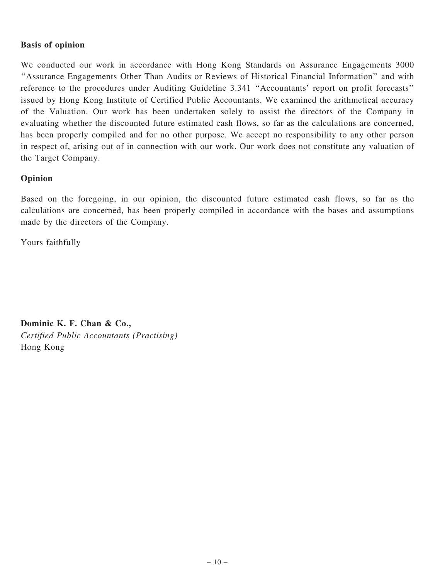### Basis of opinion

We conducted our work in accordance with Hong Kong Standards on Assurance Engagements 3000 ''Assurance Engagements Other Than Audits or Reviews of Historical Financial Information'' and with reference to the procedures under Auditing Guideline 3.341 ''Accountants' report on profit forecasts'' issued by Hong Kong Institute of Certified Public Accountants. We examined the arithmetical accuracy of the Valuation. Our work has been undertaken solely to assist the directors of the Company in evaluating whether the discounted future estimated cash flows, so far as the calculations are concerned, has been properly compiled and for no other purpose. We accept no responsibility to any other person in respect of, arising out of in connection with our work. Our work does not constitute any valuation of the Target Company.

### Opinion

Based on the foregoing, in our opinion, the discounted future estimated cash flows, so far as the calculations are concerned, has been properly compiled in accordance with the bases and assumptions made by the directors of the Company.

Yours faithfully

Dominic K. F. Chan & Co., Certified Public Accountants (Practising) Hong Kong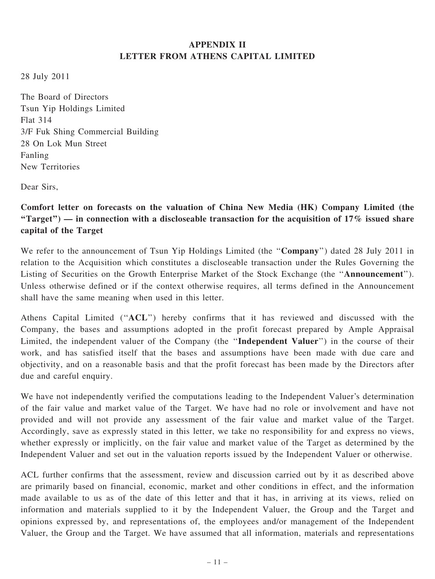## APPENDIX II LETTER FROM ATHENS CAPITAL LIMITED

28 July 2011

The Board of Directors Tsun Yip Holdings Limited Flat 314 3/F Fuk Shing Commercial Building 28 On Lok Mun Street Fanling New Territories

Dear Sirs,

Comfort letter on forecasts on the valuation of China New Media (HK) Company Limited (the "Target") — in connection with a discloseable transaction for the acquisition of  $17\%$  issued share capital of the Target

We refer to the announcement of Tsun Yip Holdings Limited (the "Company") dated 28 July 2011 in relation to the Acquisition which constitutes a discloseable transaction under the Rules Governing the Listing of Securities on the Growth Enterprise Market of the Stock Exchange (the ''Announcement''). Unless otherwise defined or if the context otherwise requires, all terms defined in the Announcement shall have the same meaning when used in this letter.

Athens Capital Limited ("ACL") hereby confirms that it has reviewed and discussed with the Company, the bases and assumptions adopted in the profit forecast prepared by Ample Appraisal Limited, the independent valuer of the Company (the "Independent Valuer") in the course of their work, and has satisfied itself that the bases and assumptions have been made with due care and objectivity, and on a reasonable basis and that the profit forecast has been made by the Directors after due and careful enquiry.

We have not independently verified the computations leading to the Independent Valuer's determination of the fair value and market value of the Target. We have had no role or involvement and have not provided and will not provide any assessment of the fair value and market value of the Target. Accordingly, save as expressly stated in this letter, we take no responsibility for and express no views, whether expressly or implicitly, on the fair value and market value of the Target as determined by the Independent Valuer and set out in the valuation reports issued by the Independent Valuer or otherwise.

ACL further confirms that the assessment, review and discussion carried out by it as described above are primarily based on financial, economic, market and other conditions in effect, and the information made available to us as of the date of this letter and that it has, in arriving at its views, relied on information and materials supplied to it by the Independent Valuer, the Group and the Target and opinions expressed by, and representations of, the employees and/or management of the Independent Valuer, the Group and the Target. We have assumed that all information, materials and representations